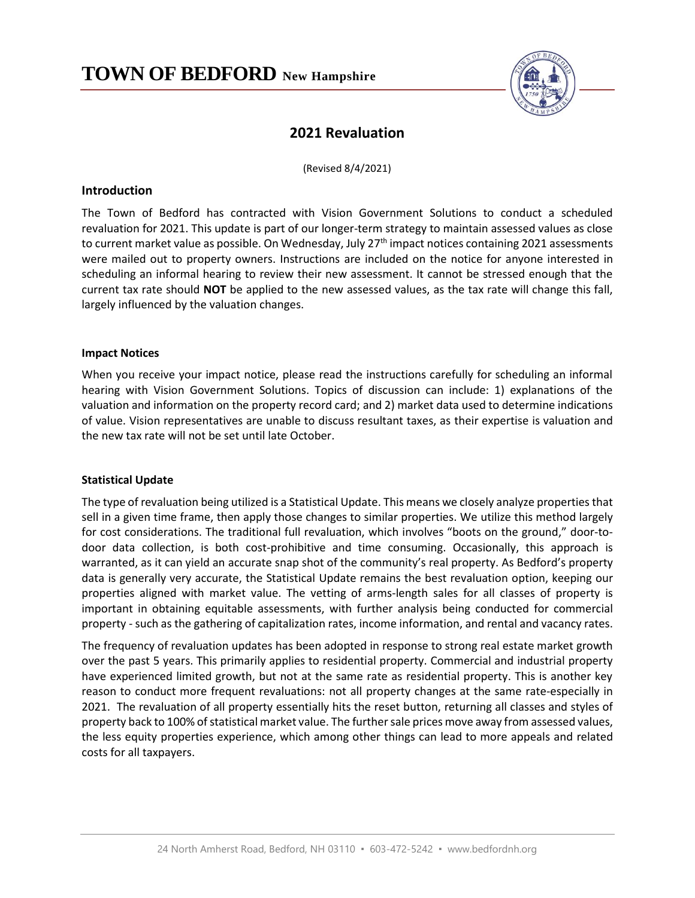

# **2021 Revaluation**

(Revised 8/4/2021)

# **Introduction**

The Town of Bedford has contracted with Vision Government Solutions to conduct a scheduled revaluation for 2021. This update is part of our longer-term strategy to maintain assessed values as close to current market value as possible. On Wednesday, July 27<sup>th</sup> impact notices containing 2021 assessments were mailed out to property owners. Instructions are included on the notice for anyone interested in scheduling an informal hearing to review their new assessment. It cannot be stressed enough that the current tax rate should **NOT** be applied to the new assessed values, as the tax rate will change this fall, largely influenced by the valuation changes.

## **Impact Notices**

When you receive your impact notice, please read the instructions carefully for scheduling an informal hearing with Vision Government Solutions. Topics of discussion can include: 1) explanations of the valuation and information on the property record card; and 2) market data used to determine indications of value. Vision representatives are unable to discuss resultant taxes, as their expertise is valuation and the new tax rate will not be set until late October.

## **Statistical Update**

The type of revaluation being utilized is a Statistical Update. This means we closely analyze properties that sell in a given time frame, then apply those changes to similar properties. We utilize this method largely for cost considerations. The traditional full revaluation, which involves "boots on the ground," door-todoor data collection, is both cost-prohibitive and time consuming. Occasionally, this approach is warranted, as it can yield an accurate snap shot of the community's real property. As Bedford's property data is generally very accurate, the Statistical Update remains the best revaluation option, keeping our properties aligned with market value. The vetting of arms-length sales for all classes of property is important in obtaining equitable assessments, with further analysis being conducted for commercial property - such as the gathering of capitalization rates, income information, and rental and vacancy rates.

The frequency of revaluation updates has been adopted in response to strong real estate market growth over the past 5 years. This primarily applies to residential property. Commercial and industrial property have experienced limited growth, but not at the same rate as residential property. This is another key reason to conduct more frequent revaluations: not all property changes at the same rate-especially in 2021. The revaluation of all property essentially hits the reset button, returning all classes and styles of property back to 100% of statistical market value. The further sale prices move away from assessed values, the less equity properties experience, which among other things can lead to more appeals and related costs for all taxpayers.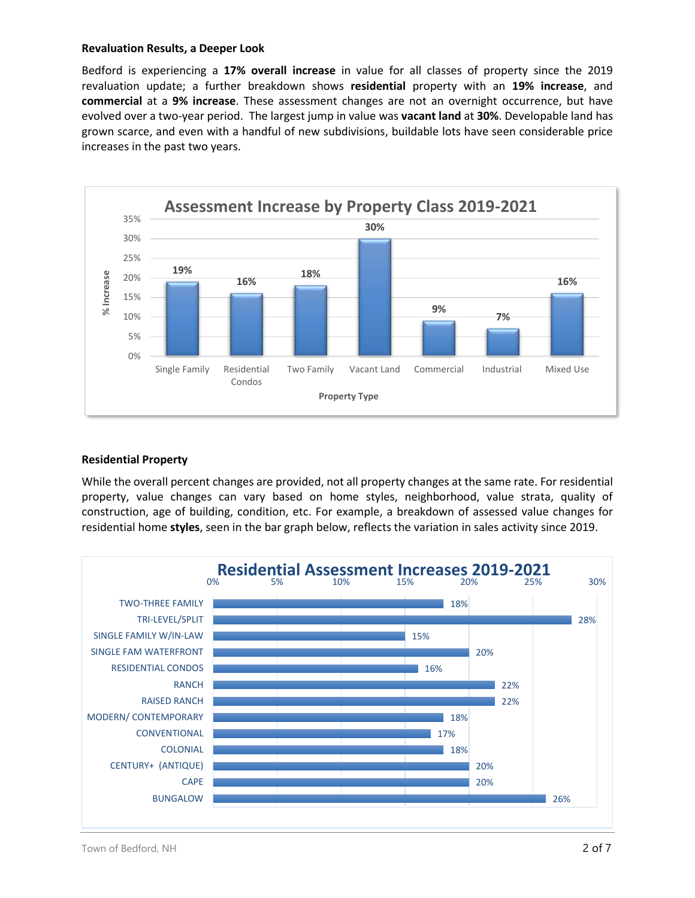#### **Revaluation Results, a Deeper Look**

Bedford is experiencing a **17% overall increase** in value for all classes of property since the 2019 revaluation update; a further breakdown shows **residential** property with an **19% increase**, and **commercial** at a **9% increase**. These assessment changes are not an overnight occurrence, but have evolved over a two-year period. The largest jump in value was **vacant land** at **30%**. Developable land has grown scarce, and even with a handful of new subdivisions, buildable lots have seen considerable price increases in the past two years.



# **Residential Property**

While the overall percent changes are provided, not all property changes at the same rate. For residential property, value changes can vary based on home styles, neighborhood, value strata, quality of construction, age of building, condition, etc. For example, a breakdown of assessed value changes for residential home **styles**, seen in the bar graph below, reflects the variation in sales activity since 2019.

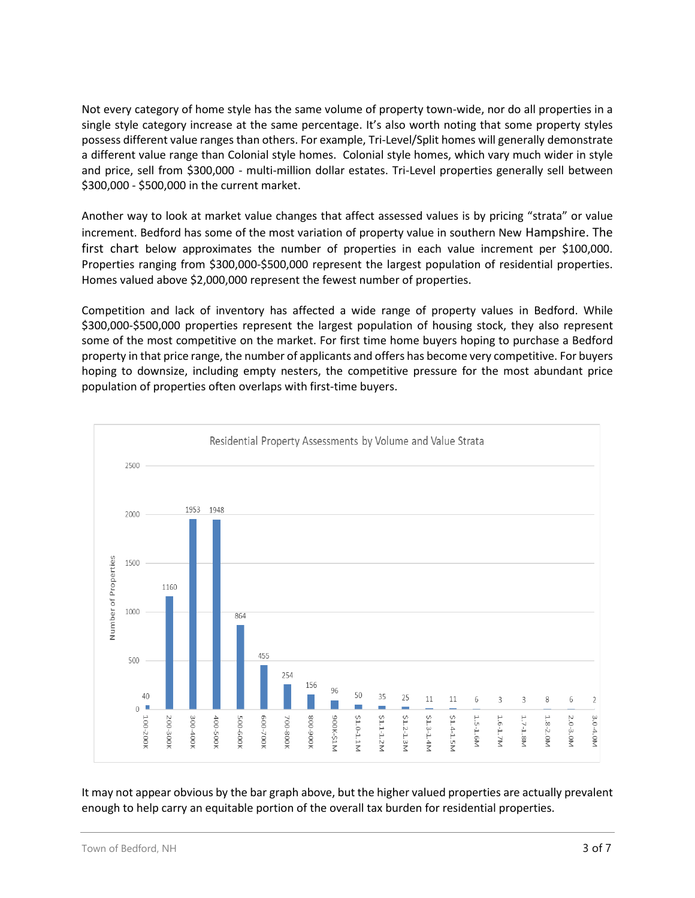Not every category of home style has the same volume of property town-wide, nor do all properties in a single style category increase at the same percentage. It's also worth noting that some property styles possess different value ranges than others. For example, Tri-Level/Split homes will generally demonstrate a different value range than Colonial style homes. Colonial style homes, which vary much wider in style and price, sell from \$300,000 - multi-million dollar estates. Tri-Level properties generally sell between \$300,000 - \$500,000 in the current market.

Another way to look at market value changes that affect assessed values is by pricing "strata" or value increment. Bedford has some of the most variation of property value in southern New Hampshire. The first chart below approximates the number of properties in each value increment per \$100,000. Properties ranging from \$300,000-\$500,000 represent the largest population of residential properties. Homes valued above \$2,000,000 represent the fewest number of properties.

Competition and lack of inventory has affected a wide range of property values in Bedford. While \$300,000-\$500,000 properties represent the largest population of housing stock, they also represent some of the most competitive on the market. For first time home buyers hoping to purchase a Bedford property in that price range, the number of applicants and offers has become very competitive. For buyers hoping to downsize, including empty nesters, the competitive pressure for the most abundant price population of properties often overlaps with first-time buyers.



It may not appear obvious by the bar graph above, but the higher valued properties are actually prevalent enough to help carry an equitable portion of the overall tax burden for residential properties.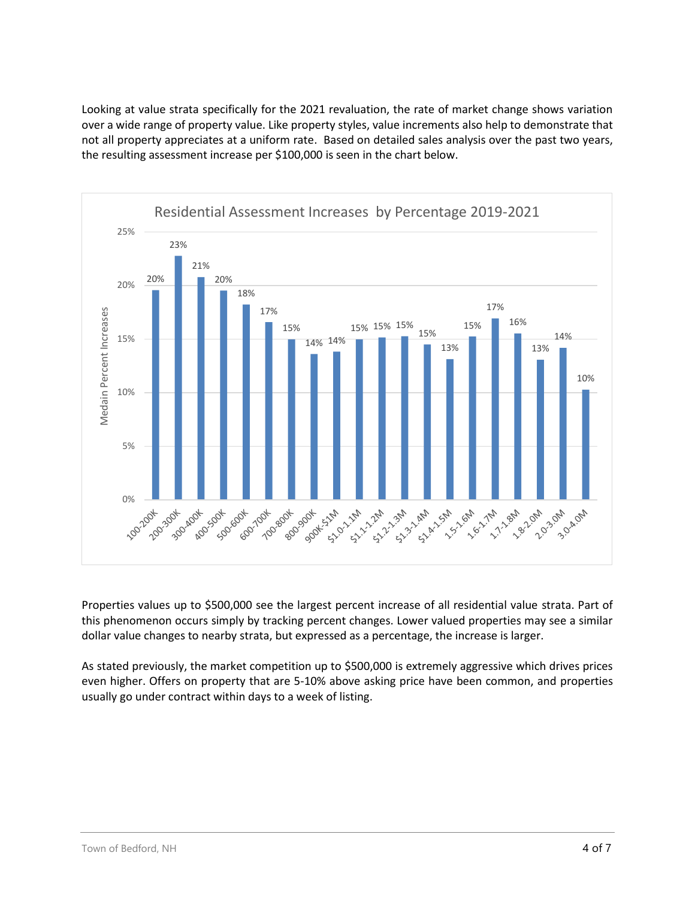Looking at value strata specifically for the 2021 revaluation, the rate of market change shows variation over a wide range of property value. Like property styles, value increments also help to demonstrate that not all property appreciates at a uniform rate. Based on detailed sales analysis over the past two years, the resulting assessment increase per \$100,000 is seen in the chart below.



Properties values up to \$500,000 see the largest percent increase of all residential value strata. Part of this phenomenon occurs simply by tracking percent changes. Lower valued properties may see a similar dollar value changes to nearby strata, but expressed as a percentage, the increase is larger.

As stated previously, the market competition up to \$500,000 is extremely aggressive which drives prices even higher. Offers on property that are 5-10% above asking price have been common, and properties usually go under contract within days to a week of listing.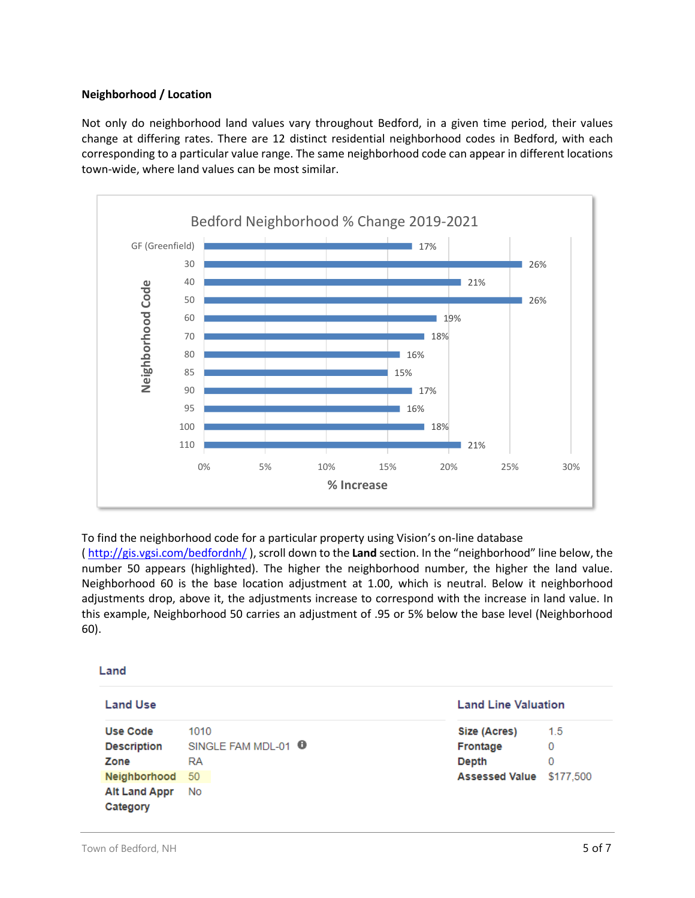# **Neighborhood / Location**

Not only do neighborhood land values vary throughout Bedford, in a given time period, their values change at differing rates. There are 12 distinct residential neighborhood codes in Bedford, with each corresponding to a particular value range. The same neighborhood code can appear in different locations town-wide, where land values can be most similar.



To find the neighborhood code for a particular property using Vision's on-line database

[\( http://gis.vgsi.com/bedfordnh/](http://gis.vgsi.com/bedfordnh/) ), scroll down to the **Land** section. In the "neighborhood" line below, the number 50 appears (highlighted). The higher the neighborhood number, the higher the land value. Neighborhood 60 is the base location adjustment at 1.00, which is neutral. Below it neighborhood adjustments drop, above it, the adjustments increase to correspond with the increase in land value. In this example, Neighborhood 50 carries an adjustment of .95 or 5% below the base level (Neighborhood 60).

## Land

| <b>Land Use</b>                  |                                | <b>Land Line Valuation</b> |     |
|----------------------------------|--------------------------------|----------------------------|-----|
| <b>Use Code</b>                  | 1010                           | Size (Acres)               | 1.5 |
| <b>Description</b>               | SINGLE FAM MDL-01 <sup>0</sup> | Frontage                   | 0   |
| Zone                             | RA                             | <b>Depth</b>               | 0   |
| Neighborhood 50                  |                                | Assessed Value \$177,500   |     |
| <b>Alt Land Appr</b><br>Category | No                             |                            |     |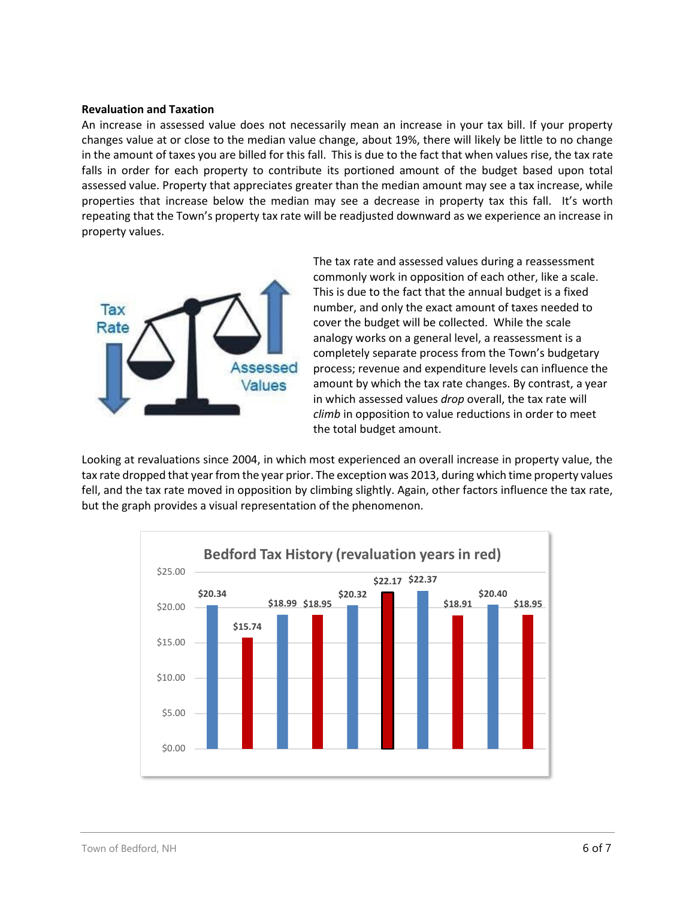#### **Revaluation and Taxation**

An increase in assessed value does not necessarily mean an increase in your tax bill. If your property changes value at or close to the median value change, about 19%, there will likely be little to no change in the amount of taxes you are billed for this fall. This is due to the fact that when values rise, the tax rate falls in order for each property to contribute its portioned amount of the budget based upon total assessed value. Property that appreciates greater than the median amount may see a tax increase, while properties that increase below the median may see a decrease in property tax this fall. It's worth repeating that the Town's property tax rate will be readjusted downward as we experience an increase in property values.



The tax rate and assessed values during a reassessment commonly work in opposition of each other, like a scale. This is due to the fact that the annual budget is a fixed number, and only the exact amount of taxes needed to cover the budget will be collected. While the scale analogy works on a general level, a reassessment is a completely separate process from the Town's budgetary process; revenue and expenditure levels can influence the amount by which the tax rate changes. By contrast, a year in which assessed values *drop* overall, the tax rate will *climb* in opposition to value reductions in order to meet the total budget amount.

Looking at revaluations since 2004, in which most experienced an overall increase in property value, the tax rate dropped that year from the year prior. The exception was 2013, during which time property values fell, and the tax rate moved in opposition by climbing slightly. Again, other factors influence the tax rate, but the graph provides a visual representation of the phenomenon.